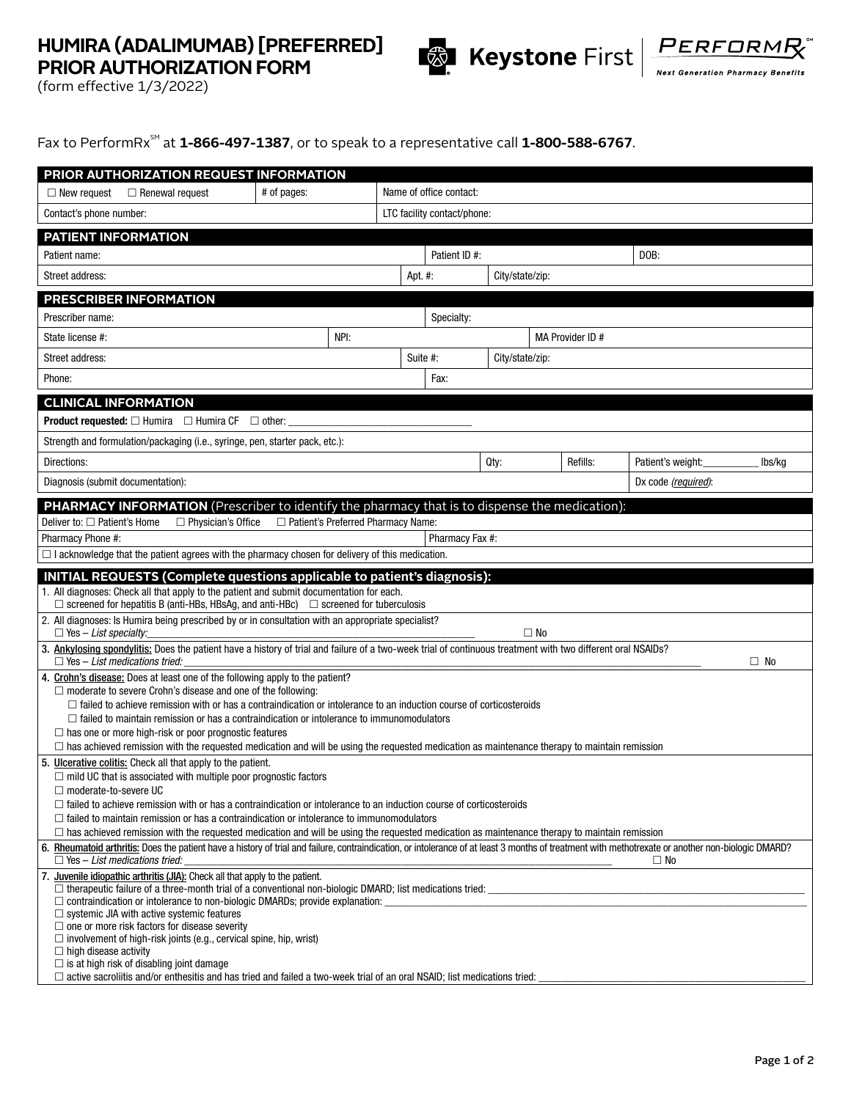## **HUMIRA (ADALIMUMAB) [PREFERRED] PRIOR AUTHORIZATION FORM**





(form effective 1/3/2022)

Fax to PerformRx<sup>sM</sup> at 1-866-497-1387, or to speak to a representative call 1-800-588-6767.

|                                                                                                                                                                                                                                                                                                                                                                                | PRIOR AUTHORIZATION REQUEST INFORMATION |         |                             |                             |           |  |                     |        |  |
|--------------------------------------------------------------------------------------------------------------------------------------------------------------------------------------------------------------------------------------------------------------------------------------------------------------------------------------------------------------------------------|-----------------------------------------|---------|-----------------------------|-----------------------------|-----------|--|---------------------|--------|--|
| $\Box$ New request<br>$\Box$ Renewal request                                                                                                                                                                                                                                                                                                                                   | # of pages:                             |         | Name of office contact:     |                             |           |  |                     |        |  |
| Contact's phone number:                                                                                                                                                                                                                                                                                                                                                        |                                         |         | LTC facility contact/phone: |                             |           |  |                     |        |  |
| PATIENT INFORMATION                                                                                                                                                                                                                                                                                                                                                            |                                         |         |                             |                             |           |  |                     |        |  |
| Patient name:                                                                                                                                                                                                                                                                                                                                                                  |                                         |         | Patient ID #:               |                             |           |  | DOB:                |        |  |
| Street address:                                                                                                                                                                                                                                                                                                                                                                |                                         | Apt. #: |                             | City/state/zip:             |           |  |                     |        |  |
| <b>PRESCRIBER INFORMATION</b>                                                                                                                                                                                                                                                                                                                                                  |                                         |         |                             |                             |           |  |                     |        |  |
| Prescriber name:                                                                                                                                                                                                                                                                                                                                                               |                                         |         | Specialty:                  |                             |           |  |                     |        |  |
| State license #:                                                                                                                                                                                                                                                                                                                                                               | NPI:                                    |         |                             | MA Provider ID #            |           |  |                     |        |  |
| Street address:                                                                                                                                                                                                                                                                                                                                                                |                                         |         |                             | Suite #:<br>City/state/zip: |           |  |                     |        |  |
| Phone:                                                                                                                                                                                                                                                                                                                                                                         |                                         |         | Fax:                        |                             |           |  |                     |        |  |
| <b>CLINICAL INFORMATION</b>                                                                                                                                                                                                                                                                                                                                                    |                                         |         |                             |                             |           |  |                     |        |  |
| <b>Product requested:</b> $\Box$ Humira $\Box$ Humira CF $\Box$ other:                                                                                                                                                                                                                                                                                                         |                                         |         |                             |                             |           |  |                     |        |  |
| Strength and formulation/packaging (i.e., syringe, pen, starter pack, etc.):                                                                                                                                                                                                                                                                                                   |                                         |         |                             |                             |           |  |                     |        |  |
| Directions:                                                                                                                                                                                                                                                                                                                                                                    |                                         |         |                             | Qty:                        | Refills:  |  | Patient's weight:   | lbs/kg |  |
| Diagnosis (submit documentation):                                                                                                                                                                                                                                                                                                                                              |                                         |         |                             |                             |           |  | Dx code (required): |        |  |
| <b>PHARMACY INFORMATION</b> (Prescriber to identify the pharmacy that is to dispense the medication):                                                                                                                                                                                                                                                                          |                                         |         |                             |                             |           |  |                     |        |  |
| Deliver to: $\Box$ Patient's Home<br>$\Box$ Physician's Office                                                                                                                                                                                                                                                                                                                 | □ Patient's Preferred Pharmacy Name:    |         |                             |                             |           |  |                     |        |  |
| Pharmacy Phone #:                                                                                                                                                                                                                                                                                                                                                              |                                         |         | Pharmacy Fax #:             |                             |           |  |                     |        |  |
| $\Box$ I acknowledge that the patient agrees with the pharmacy chosen for delivery of this medication.                                                                                                                                                                                                                                                                         |                                         |         |                             |                             |           |  |                     |        |  |
| INITIAL REQUESTS (Complete questions applicable to patient's diagnosis):<br>1. All diagnoses: Check all that apply to the patient and submit documentation for each.<br>$\Box$ screened for hepatitis B (anti-HBs, HBsAg, and anti-HBc) $\Box$ screened for tuberculosis<br>2. All diagnoses: Is Humira being prescribed by or in consultation with an appropriate specialist? |                                         |         |                             |                             |           |  |                     |        |  |
| $\Box$ Yes - List specialty:                                                                                                                                                                                                                                                                                                                                                   |                                         |         |                             |                             | $\Box$ No |  |                     |        |  |
| 3. Ankylosing spondylitis: Does the patient have a history of trial and failure of a two-week trial of continuous treatment with two different oral NSAIDs?<br>$\Box$ Yes - List medications tried:<br>$\Box$ No                                                                                                                                                               |                                         |         |                             |                             |           |  |                     |        |  |
| 4. Crohn's disease: Does at least one of the following apply to the patient?                                                                                                                                                                                                                                                                                                   |                                         |         |                             |                             |           |  |                     |        |  |
|                                                                                                                                                                                                                                                                                                                                                                                |                                         |         |                             |                             |           |  |                     |        |  |
| $\Box$ moderate to severe Crohn's disease and one of the following:                                                                                                                                                                                                                                                                                                            |                                         |         |                             |                             |           |  |                     |        |  |
| $\Box$ failed to achieve remission with or has a contraindication or intolerance to an induction course of corticosteroids<br>$\Box$ failed to maintain remission or has a contraindication or intolerance to immunomodulators                                                                                                                                                 |                                         |         |                             |                             |           |  |                     |        |  |
| $\Box$ has one or more high-risk or poor prognostic features                                                                                                                                                                                                                                                                                                                   |                                         |         |                             |                             |           |  |                     |        |  |
| $\Box$ has achieved remission with the requested medication and will be using the requested medication as maintenance therapy to maintain remission<br>5. Ulcerative colitis: Check all that apply to the patient.                                                                                                                                                             |                                         |         |                             |                             |           |  |                     |        |  |
| $\Box$ mild UC that is associated with multiple poor prognostic factors<br>$\Box$ moderate-to-severe UC                                                                                                                                                                                                                                                                        |                                         |         |                             |                             |           |  |                     |        |  |
| $\Box$ failed to achieve remission with or has a contraindication or intolerance to an induction course of corticosteroids                                                                                                                                                                                                                                                     |                                         |         |                             |                             |           |  |                     |        |  |
| $\Box$ failed to maintain remission or has a contraindication or intolerance to immunomodulators<br>$\Box$ has achieved remission with the requested medication and will be using the requested medication as maintenance therapy to maintain remission                                                                                                                        |                                         |         |                             |                             |           |  |                     |        |  |
| 6. Rheumatoid arthritis: Does the patient have a history of trial and failure, contraindication, or intolerance of at least 3 months of treatment with methotrexate or another non-biologic DMARD?                                                                                                                                                                             |                                         |         |                             |                             |           |  | $\Box$ No           |        |  |
| $\Box$ Yes - List medications tried:<br>7. Juvenile idiopathic arthritis (JIA): Check all that apply to the patient.                                                                                                                                                                                                                                                           |                                         |         |                             |                             |           |  |                     |        |  |
|                                                                                                                                                                                                                                                                                                                                                                                |                                         |         |                             |                             |           |  |                     |        |  |
| $\Box$ systemic JIA with active systemic features                                                                                                                                                                                                                                                                                                                              |                                         |         |                             |                             |           |  |                     |        |  |
| $\Box$ one or more risk factors for disease severity<br>$\Box$ involvement of high-risk joints (e.g., cervical spine, hip, wrist)                                                                                                                                                                                                                                              |                                         |         |                             |                             |           |  |                     |        |  |
| $\Box$ high disease activity<br>$\Box$ is at high risk of disabling joint damage                                                                                                                                                                                                                                                                                               |                                         |         |                             |                             |           |  |                     |        |  |